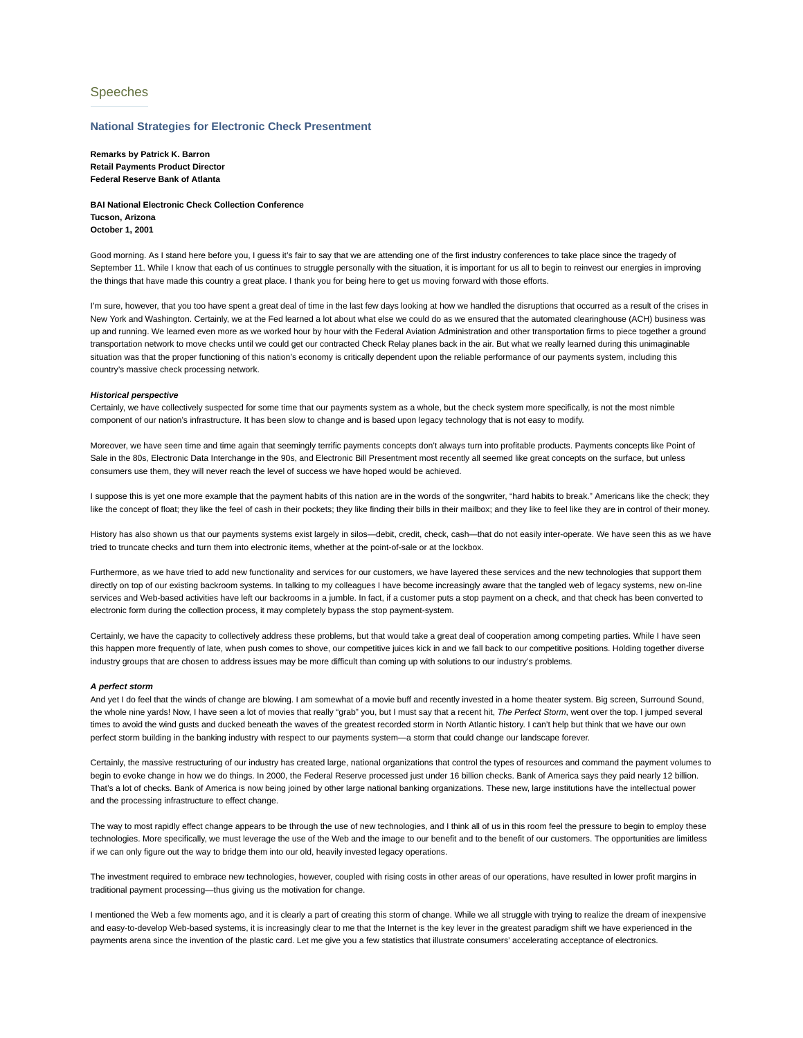# Speeches

## **National Strategies for Electronic Check Presentment**

**Remarks by Patrick K. Barron Retail Payments Product Director Federal Reserve Bank of Atlanta**

**BAI National Electronic Check Collection Conference Tucson, Arizona October 1, 2001**

Good morning. As I stand here before you, I guess it's fair to say that we are attending one of the first industry conferences to take place since the tragedy of September 11. While I know that each of us continues to struggle personally with the situation, it is important for us all to begin to reinvest our energies in improving the things that have made this country a great place. I thank you for being here to get us moving forward with those efforts.

I'm sure, however, that you too have spent a great deal of time in the last few days looking at how we handled the disruptions that occurred as a result of the crises in New York and Washington. Certainly, we at the Fed learned a lot about what else we could do as we ensured that the automated clearinghouse (ACH) business was up and running. We learned even more as we worked hour by hour with the Federal Aviation Administration and other transportation firms to piece together a ground transportation network to move checks until we could get our contracted Check Relay planes back in the air. But what we really learned during this unimaginable situation was that the proper functioning of this nation's economy is critically dependent upon the reliable performance of our payments system, including this country's massive check processing network.

## *Historical perspective*

Certainly, we have collectively suspected for some time that our payments system as a whole, but the check system more specifically, is not the most nimble component of our nation's infrastructure. It has been slow to change and is based upon legacy technology that is not easy to modify.

Moreover, we have seen time and time again that seemingly terrific payments concepts don't always turn into profitable products. Payments concepts like Point of Sale in the 80s, Electronic Data Interchange in the 90s, and Electronic Bill Presentment most recently all seemed like great concepts on the surface, but unless consumers use them, they will never reach the level of success we have hoped would be achieved.

I suppose this is yet one more example that the payment habits of this nation are in the words of the songwriter, "hard habits to break." Americans like the check; they like the concept of float; they like the feel of cash in their pockets; they like finding their bills in their mailbox; and they like to feel like they are in control of their money.

History has also shown us that our payments systems exist largely in silos—debit, credit, check, cash—that do not easily inter-operate. We have seen this as we have tried to truncate checks and turn them into electronic items, whether at the point-of-sale or at the lockbox.

Furthermore, as we have tried to add new functionality and services for our customers, we have layered these services and the new technologies that support them directly on top of our existing backroom systems. In talking to my colleagues I have become increasingly aware that the tangled web of legacy systems, new on-line services and Web-based activities have left our backrooms in a jumble. In fact, if a customer puts a stop payment on a check, and that check has been converted to electronic form during the collection process, it may completely bypass the stop payment-system.

Certainly, we have the capacity to collectively address these problems, but that would take a great deal of cooperation among competing parties. While I have seen this happen more frequently of late, when push comes to shove, our competitive juices kick in and we fall back to our competitive positions. Holding together diverse industry groups that are chosen to address issues may be more difficult than coming up with solutions to our industry's problems.

#### *A perfect storm*

And yet I do feel that the winds of change are blowing. I am somewhat of a movie buff and recently invested in a home theater system. Big screen, Surround Sound, the whole nine yards! Now, I have seen a lot of movies that really "grab" you, but I must say that a recent hit, *The Perfect Storm*, went over the top. I jumped several times to avoid the wind gusts and ducked beneath the waves of the greatest recorded storm in North Atlantic history. I can't help but think that we have our own perfect storm building in the banking industry with respect to our payments system—a storm that could change our landscape forever.

Certainly, the massive restructuring of our industry has created large, national organizations that control the types of resources and command the payment volumes to begin to evoke change in how we do things. In 2000, the Federal Reserve processed just under 16 billion checks. Bank of America says they paid nearly 12 billion. That's a lot of checks. Bank of America is now being joined by other large national banking organizations. These new, large institutions have the intellectual power and the processing infrastructure to effect change.

The way to most rapidly effect change appears to be through the use of new technologies, and I think all of us in this room feel the pressure to begin to employ these technologies. More specifically, we must leverage the use of the Web and the image to our benefit and to the benefit of our customers. The opportunities are limitless if we can only figure out the way to bridge them into our old, heavily invested legacy operations.

The investment required to embrace new technologies, however, coupled with rising costs in other areas of our operations, have resulted in lower profit margins in traditional payment processing—thus giving us the motivation for change.

I mentioned the Web a few moments ago, and it is clearly a part of creating this storm of change. While we all struggle with trying to realize the dream of inexpensive and easy-to-develop Web-based systems, it is increasingly clear to me that the Internet is the key lever in the greatest paradigm shift we have experienced in the payments arena since the invention of the plastic card. Let me give you a few statistics that illustrate consumers' accelerating acceptance of electronics.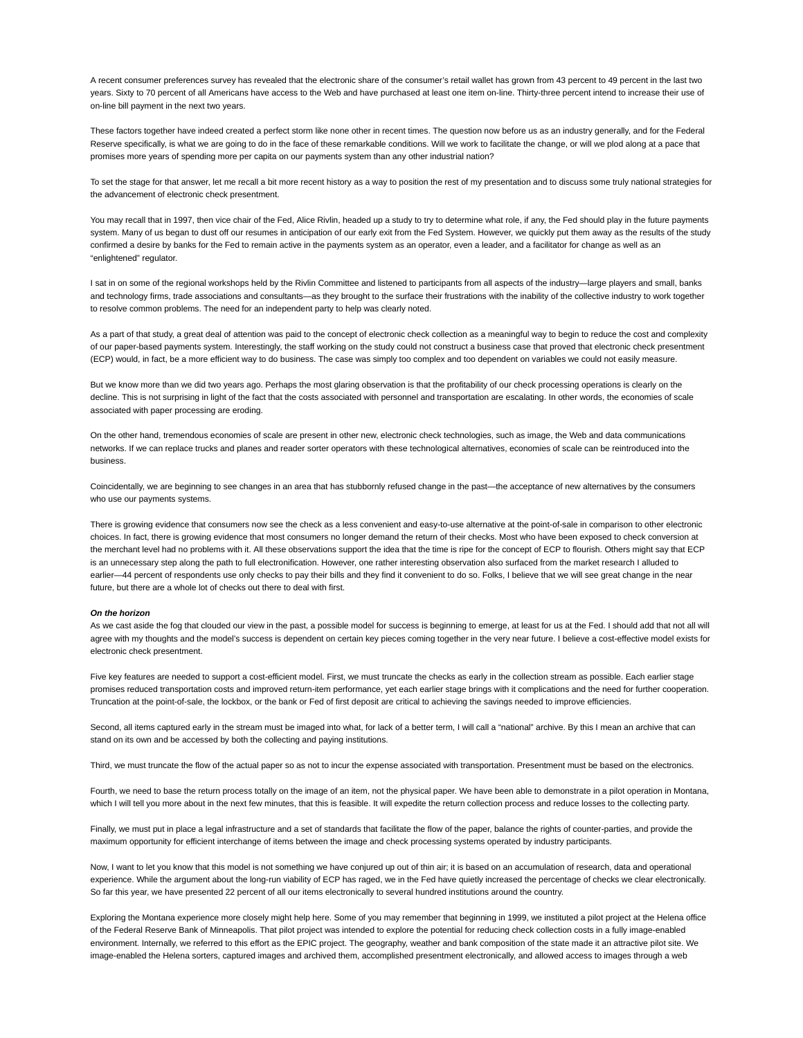A recent consumer preferences survey has revealed that the electronic share of the consumer's retail wallet has grown from 43 percent to 49 percent in the last two years. Sixty to 70 percent of all Americans have access to the Web and have purchased at least one item on-line. Thirty-three percent intend to increase their use of on-line bill payment in the next two years.

These factors together have indeed created a perfect storm like none other in recent times. The question now before us as an industry generally, and for the Federal Reserve specifically, is what we are going to do in the face of these remarkable conditions. Will we work to facilitate the change, or will we plod along at a pace that promises more years of spending more per capita on our payments system than any other industrial nation?

To set the stage for that answer, let me recall a bit more recent history as a way to position the rest of my presentation and to discuss some truly national strategies for the advancement of electronic check presentment.

You may recall that in 1997, then vice chair of the Fed, Alice Rivlin, headed up a study to try to determine what role, if any, the Fed should play in the future payments system. Many of us began to dust off our resumes in anticipation of our early exit from the Fed System. However, we quickly put them away as the results of the study confirmed a desire by banks for the Fed to remain active in the payments system as an operator, even a leader, and a facilitator for change as well as an "enlightened" regulator.

I sat in on some of the regional workshops held by the Rivlin Committee and listened to participants from all aspects of the industry—large players and small, banks and technology firms, trade associations and consultants—as they brought to the surface their frustrations with the inability of the collective industry to work together to resolve common problems. The need for an independent party to help was clearly noted.

As a part of that study, a great deal of attention was paid to the concept of electronic check collection as a meaningful way to begin to reduce the cost and complexity of our paper-based payments system. Interestingly, the staff working on the study could not construct a business case that proved that electronic check presentment (ECP) would, in fact, be a more efficient way to do business. The case was simply too complex and too dependent on variables we could not easily measure.

But we know more than we did two years ago. Perhaps the most glaring observation is that the profitability of our check processing operations is clearly on the decline. This is not surprising in light of the fact that the costs associated with personnel and transportation are escalating. In other words, the economies of scale associated with paper processing are eroding.

On the other hand, tremendous economies of scale are present in other new, electronic check technologies, such as image, the Web and data communications networks. If we can replace trucks and planes and reader sorter operators with these technological alternatives, economies of scale can be reintroduced into the business.

Coincidentally, we are beginning to see changes in an area that has stubbornly refused change in the past—the acceptance of new alternatives by the consumers who use our payments systems.

There is growing evidence that consumers now see the check as a less convenient and easy-to-use alternative at the point-of-sale in comparison to other electronic choices. In fact, there is growing evidence that most consumers no longer demand the return of their checks. Most who have been exposed to check conversion at the merchant level had no problems with it. All these observations support the idea that the time is ripe for the concept of ECP to flourish. Others might say that ECP is an unnecessary step along the path to full electronification. However, one rather interesting observation also surfaced from the market research I alluded to earlier—44 percent of respondents use only checks to pay their bills and they find it convenient to do so. Folks, I believe that we will see great change in the near future, but there are a whole lot of checks out there to deal with first.

## *On the horizon*

As we cast aside the fog that clouded our view in the past, a possible model for success is beginning to emerge, at least for us at the Fed. I should add that not all will agree with my thoughts and the model's success is dependent on certain key pieces coming together in the very near future. I believe a cost-effective model exists for electronic check presentment.

Five key features are needed to support a cost-efficient model. First, we must truncate the checks as early in the collection stream as possible. Each earlier stage promises reduced transportation costs and improved return-item performance, yet each earlier stage brings with it complications and the need for further cooperation. Truncation at the point-of-sale, the lockbox, or the bank or Fed of first deposit are critical to achieving the savings needed to improve efficiencies.

Second, all items captured early in the stream must be imaged into what, for lack of a better term, I will call a "national" archive. By this I mean an archive that can stand on its own and be accessed by both the collecting and paying institutions.

Third, we must truncate the flow of the actual paper so as not to incur the expense associated with transportation. Presentment must be based on the electronics.

Fourth, we need to base the return process totally on the image of an item, not the physical paper. We have been able to demonstrate in a pilot operation in Montana, which I will tell you more about in the next few minutes, that this is feasible. It will expedite the return collection process and reduce losses to the collecting party.

Finally, we must put in place a legal infrastructure and a set of standards that facilitate the flow of the paper, balance the rights of counter-parties, and provide the maximum opportunity for efficient interchange of items between the image and check processing systems operated by industry participants.

Now, I want to let you know that this model is not something we have conjured up out of thin air; it is based on an accumulation of research, data and operational experience. While the argument about the long-run viability of ECP has raged, we in the Fed have quietly increased the percentage of checks we clear electronically. So far this year, we have presented 22 percent of all our items electronically to several hundred institutions around the country.

Exploring the Montana experience more closely might help here. Some of you may remember that beginning in 1999, we instituted a pilot project at the Helena office of the Federal Reserve Bank of Minneapolis. That pilot project was intended to explore the potential for reducing check collection costs in a fully image-enabled environment. Internally, we referred to this effort as the EPIC project. The geography, weather and bank composition of the state made it an attractive pilot site. We image-enabled the Helena sorters, captured images and archived them, accomplished presentment electronically, and allowed access to images through a web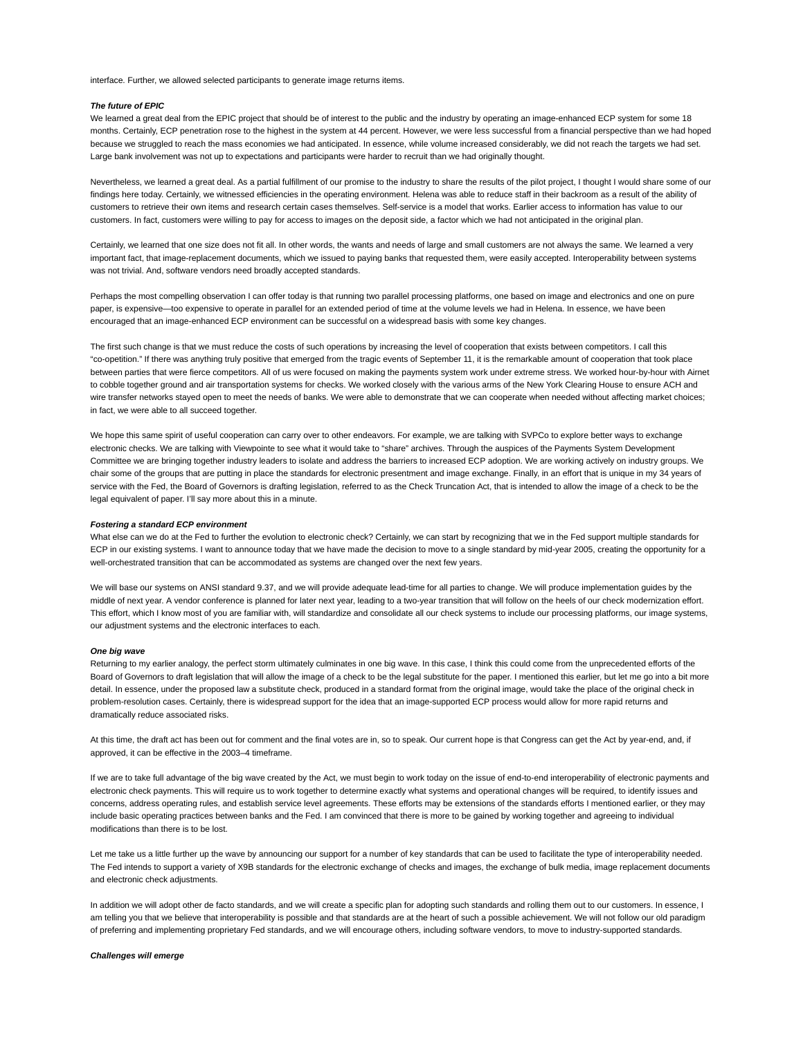interface. Further, we allowed selected participants to generate image returns items.

## *The future of EPIC*

We learned a great deal from the EPIC project that should be of interest to the public and the industry by operating an image-enhanced ECP system for some 18 months. Certainly, ECP penetration rose to the highest in the system at 44 percent. However, we were less successful from a financial perspective than we had hoped because we struggled to reach the mass economies we had anticipated. In essence, while volume increased considerably, we did not reach the targets we had set. Large bank involvement was not up to expectations and participants were harder to recruit than we had originally thought.

Nevertheless, we learned a great deal. As a partial fulfillment of our promise to the industry to share the results of the pilot project, I thought I would share some of our findings here today. Certainly, we witnessed efficiencies in the operating environment. Helena was able to reduce staff in their backroom as a result of the ability of customers to retrieve their own items and research certain cases themselves. Self-service is a model that works. Earlier access to information has value to our customers. In fact, customers were willing to pay for access to images on the deposit side, a factor which we had not anticipated in the original plan.

Certainly, we learned that one size does not fit all. In other words, the wants and needs of large and small customers are not always the same. We learned a very important fact, that image-replacement documents, which we issued to paying banks that requested them, were easily accepted. Interoperability between systems was not trivial. And, software vendors need broadly accepted standards.

Perhaps the most compelling observation I can offer today is that running two parallel processing platforms, one based on image and electronics and one on pure paper, is expensive—too expensive to operate in parallel for an extended period of time at the volume levels we had in Helena. In essence, we have been encouraged that an image-enhanced ECP environment can be successful on a widespread basis with some key changes.

The first such change is that we must reduce the costs of such operations by increasing the level of cooperation that exists between competitors. I call this "co-opetition." If there was anything truly positive that emerged from the tragic events of September 11, it is the remarkable amount of cooperation that took place between parties that were fierce competitors. All of us were focused on making the payments system work under extreme stress. We worked hour-by-hour with Airnet to cobble together ground and air transportation systems for checks. We worked closely with the various arms of the New York Clearing House to ensure ACH and wire transfer networks stayed open to meet the needs of banks. We were able to demonstrate that we can cooperate when needed without affecting market choices; in fact, we were able to all succeed together.

We hope this same spirit of useful cooperation can carry over to other endeavors. For example, we are talking with SVPCo to explore better ways to exchange electronic checks. We are talking with Viewpointe to see what it would take to "share" archives. Through the auspices of the Payments System Development Committee we are bringing together industry leaders to isolate and address the barriers to increased ECP adoption. We are working actively on industry groups. We chair some of the groups that are putting in place the standards for electronic presentment and image exchange. Finally, in an effort that is unique in my 34 years of service with the Fed, the Board of Governors is drafting legislation, referred to as the Check Truncation Act, that is intended to allow the image of a check to be the legal equivalent of paper. I'll say more about this in a minute.

#### *Fostering a standard ECP environment*

What else can we do at the Fed to further the evolution to electronic check? Certainly, we can start by recognizing that we in the Fed support multiple standards for ECP in our existing systems. I want to announce today that we have made the decision to move to a single standard by mid-year 2005, creating the opportunity for a well-orchestrated transition that can be accommodated as systems are changed over the next few years.

We will base our systems on ANSI standard 9.37, and we will provide adequate lead-time for all parties to change. We will produce implementation guides by the middle of next year. A vendor conference is planned for later next year, leading to a two-year transition that will follow on the heels of our check modernization effort. This effort, which I know most of you are familiar with, will standardize and consolidate all our check systems to include our processing platforms, our image systems, our adjustment systems and the electronic interfaces to each.

#### *One big wave*

Returning to my earlier analogy, the perfect storm ultimately culminates in one big wave. In this case, I think this could come from the unprecedented efforts of the Board of Governors to draft legislation that will allow the image of a check to be the legal substitute for the paper. I mentioned this earlier, but let me go into a bit more detail. In essence, under the proposed law a substitute check, produced in a standard format from the original image, would take the place of the original check in problem-resolution cases. Certainly, there is widespread support for the idea that an image-supported ECP process would allow for more rapid returns and dramatically reduce associated risks.

At this time, the draft act has been out for comment and the final votes are in, so to speak. Our current hope is that Congress can get the Act by year-end, and, if approved, it can be effective in the 2003–4 timeframe.

If we are to take full advantage of the big wave created by the Act, we must begin to work today on the issue of end-to-end interoperability of electronic payments and electronic check payments. This will require us to work together to determine exactly what systems and operational changes will be required, to identify issues and concerns, address operating rules, and establish service level agreements. These efforts may be extensions of the standards efforts I mentioned earlier, or they may include basic operating practices between banks and the Fed. I am convinced that there is more to be gained by working together and agreeing to individual modifications than there is to be lost.

Let me take us a little further up the wave by announcing our support for a number of key standards that can be used to facilitate the type of interoperability needed. The Fed intends to support a variety of X9B standards for the electronic exchange of checks and images, the exchange of bulk media, image replacement documents and electronic check adjustments.

In addition we will adopt other de facto standards, and we will create a specific plan for adopting such standards and rolling them out to our customers. In essence, I am telling you that we believe that interoperability is possible and that standards are at the heart of such a possible achievement. We will not follow our old paradigm of preferring and implementing proprietary Fed standards, and we will encourage others, including software vendors, to move to industry-supported standards.

#### *Challenges will emerge*